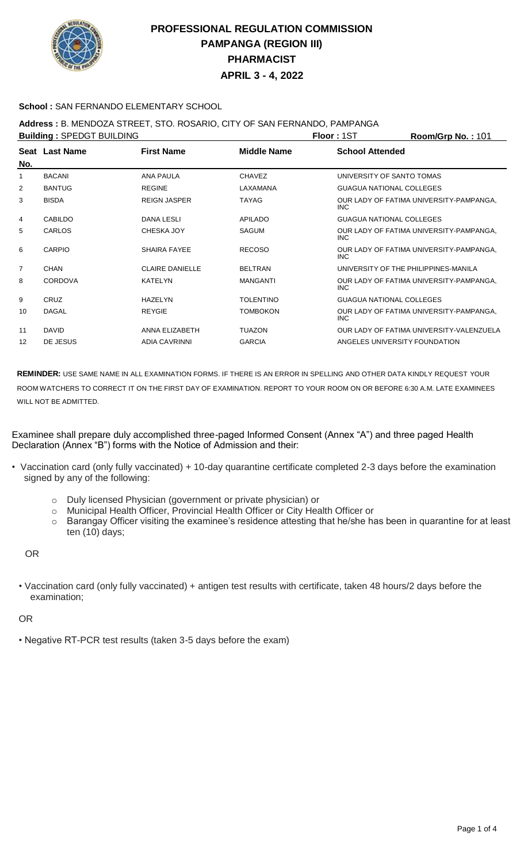

#### **School :** SAN FERNANDO ELEMENTARY SCHOOL

### **Address :** B. MENDOZA STREET, STO. ROSARIO, CITY OF SAN FERNANDO, PAMPANGA

| <b>Building: SPEDGT BUILDING</b> |                |                        |                    | Floor: 1ST                           | Room/Grp No.: 101                        |
|----------------------------------|----------------|------------------------|--------------------|--------------------------------------|------------------------------------------|
| No.                              | Seat Last Name | <b>First Name</b>      | <b>Middle Name</b> | <b>School Attended</b>               |                                          |
|                                  | <b>BACANI</b>  | <b>ANA PAULA</b>       | <b>CHAVEZ</b>      | UNIVERSITY OF SANTO TOMAS            |                                          |
| 2                                | <b>BANTUG</b>  | <b>REGINE</b>          | LAXAMANA           | <b>GUAGUA NATIONAL COLLEGES</b>      |                                          |
| 3                                | <b>BISDA</b>   | <b>REIGN JASPER</b>    | <b>TAYAG</b>       | INC.                                 | OUR LADY OF FATIMA UNIVERSITY-PAMPANGA,  |
| 4                                | <b>CABILDO</b> | <b>DANA LESLI</b>      | <b>APILADO</b>     | <b>GUAGUA NATIONAL COLLEGES</b>      |                                          |
| 5                                | <b>CARLOS</b>  | <b>CHESKA JOY</b>      | <b>SAGUM</b>       | <b>INC</b>                           | OUR LADY OF FATIMA UNIVERSITY-PAMPANGA,  |
| 6                                | <b>CARPIO</b>  | <b>SHAIRA FAYEE</b>    | <b>RECOSO</b>      | INC.                                 | OUR LADY OF FATIMA UNIVERSITY-PAMPANGA,  |
| $\overline{7}$                   | CHAN           | <b>CLAIRE DANIELLE</b> | <b>BELTRAN</b>     | UNIVERSITY OF THE PHILIPPINES-MANILA |                                          |
| 8                                | <b>CORDOVA</b> | <b>KATELYN</b>         | <b>MANGANTI</b>    | INC.                                 | OUR LADY OF FATIMA UNIVERSITY-PAMPANGA,  |
| 9                                | CRUZ           | <b>HAZELYN</b>         | <b>TOLENTINO</b>   | <b>GUAGUA NATIONAL COLLEGES</b>      |                                          |
| 10                               | <b>DAGAL</b>   | <b>REYGIE</b>          | TOMBOKON           | INC.                                 | OUR LADY OF FATIMA UNIVERSITY-PAMPANGA,  |
| 11                               | <b>DAVID</b>   | ANNA ELIZABETH         | <b>TUAZON</b>      |                                      | OUR LADY OF FATIMA UNIVERSITY-VALENZUELA |
| 12                               | DE JESUS       | <b>ADIA CAVRINNI</b>   | <b>GARCIA</b>      | ANGELES UNIVERSITY FOUNDATION        |                                          |
|                                  |                |                        |                    |                                      |                                          |

**REMINDER:** USE SAME NAME IN ALL EXAMINATION FORMS. IF THERE IS AN ERROR IN SPELLING AND OTHER DATA KINDLY REQUEST YOUR ROOM WATCHERS TO CORRECT IT ON THE FIRST DAY OF EXAMINATION. REPORT TO YOUR ROOM ON OR BEFORE 6:30 A.M. LATE EXAMINEES WILL NOT BE ADMITTED.

Examinee shall prepare duly accomplished three-paged Informed Consent (Annex "A") and three paged Health Declaration (Annex "B") forms with the Notice of Admission and their:

- Vaccination card (only fully vaccinated) + 10-day quarantine certificate completed 2-3 days before the examination signed by any of the following:
	- o Duly licensed Physician (government or private physician) or
	- o Municipal Health Officer, Provincial Health Officer or City Health Officer or
	- o Barangay Officer visiting the examinee's residence attesting that he/she has been in quarantine for at least ten (10) days;

OR

• Vaccination card (only fully vaccinated) + antigen test results with certificate, taken 48 hours/2 days before the examination;

OR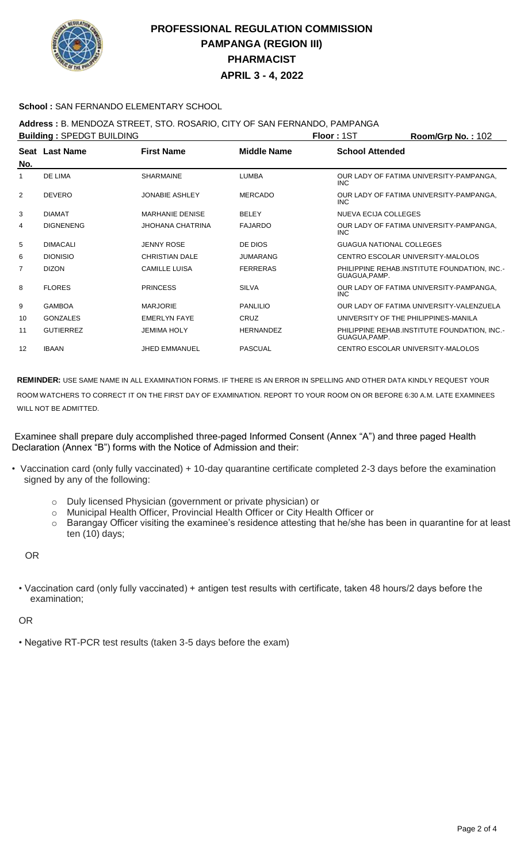

#### **School :** SAN FERNANDO ELEMENTARY SCHOOL

### **Address :** B. MENDOZA STREET, STO. ROSARIO, CITY OF SAN FERNANDO, PAMPANGA

| <b>Building: SPEDGT BUILDING</b> |                  |                         |                    | <b>Floor: 1ST</b>               | Room/Grp No.: 102                            |
|----------------------------------|------------------|-------------------------|--------------------|---------------------------------|----------------------------------------------|
| No.                              | Seat Last Name   | <b>First Name</b>       | <b>Middle Name</b> | <b>School Attended</b>          |                                              |
|                                  | DE LIMA          | <b>SHARMAINE</b>        | <b>LUMBA</b>       | INC.                            | OUR LADY OF FATIMA UNIVERSITY-PAMPANGA,      |
| 2                                | <b>DEVERO</b>    | <b>JONABIE ASHLEY</b>   | <b>MERCADO</b>     | <b>INC</b>                      | OUR LADY OF FATIMA UNIVERSITY-PAMPANGA,      |
| 3                                | <b>DIAMAT</b>    | <b>MARHANIE DENISE</b>  | <b>BELEY</b>       | NUEVA ECIJA COLLEGES            |                                              |
| 4                                | <b>DIGNENENG</b> | <b>JHOHANA CHATRINA</b> | <b>FAJARDO</b>     | <b>INC</b>                      | OUR LADY OF FATIMA UNIVERSITY-PAMPANGA,      |
| 5                                | <b>DIMACALI</b>  | <b>JENNY ROSE</b>       | DE DIOS            | <b>GUAGUA NATIONAL COLLEGES</b> |                                              |
| 6                                | <b>DIONISIO</b>  | <b>CHRISTIAN DALE</b>   | <b>JUMARANG</b>    |                                 | CENTRO ESCOLAR UNIVERSITY-MALOLOS            |
| $\overline{7}$                   | <b>DIZON</b>     | <b>CAMILLE LUISA</b>    | <b>FERRERAS</b>    | GUAGUA, PAMP.                   | PHILIPPINE REHAB.INSTITUTE FOUNDATION, INC.- |
| 8                                | <b>FLORES</b>    | <b>PRINCESS</b>         | <b>SILVA</b>       | <b>INC</b>                      | OUR LADY OF FATIMA UNIVERSITY-PAMPANGA,      |
| 9                                | <b>GAMBOA</b>    | <b>MARJORIE</b>         | <b>PANLILIO</b>    |                                 | OUR LADY OF FATIMA UNIVERSITY-VALENZUELA     |
| 10                               | <b>GONZALES</b>  | <b>EMERLYN FAYE</b>     | CRUZ               |                                 | UNIVERSITY OF THE PHILIPPINES-MANILA         |
| 11                               | <b>GUTIERREZ</b> | <b>JEMIMA HOLY</b>      | <b>HERNANDEZ</b>   | GUAGUA, PAMP.                   | PHILIPPINE REHAB.INSTITUTE FOUNDATION, INC.- |
| 12                               | <b>IBAAN</b>     | <b>JHED EMMANUEL</b>    | PASCUAL            |                                 | CENTRO ESCOLAR UNIVERSITY-MALOLOS            |
|                                  |                  |                         |                    |                                 |                                              |

**REMINDER:** USE SAME NAME IN ALL EXAMINATION FORMS. IF THERE IS AN ERROR IN SPELLING AND OTHER DATA KINDLY REQUEST YOUR ROOM WATCHERS TO CORRECT IT ON THE FIRST DAY OF EXAMINATION. REPORT TO YOUR ROOM ON OR BEFORE 6:30 A.M. LATE EXAMINEES WILL NOT BE ADMITTED.

Examinee shall prepare duly accomplished three-paged Informed Consent (Annex "A") and three paged Health Declaration (Annex "B") forms with the Notice of Admission and their:

- Vaccination card (only fully vaccinated) + 10-day quarantine certificate completed 2-3 days before the examination signed by any of the following:
	- o Duly licensed Physician (government or private physician) or
	- o Municipal Health Officer, Provincial Health Officer or City Health Officer or
	- o Barangay Officer visiting the examinee's residence attesting that he/she has been in quarantine for at least ten (10) days;

OR

• Vaccination card (only fully vaccinated) + antigen test results with certificate, taken 48 hours/2 days before the examination;

OR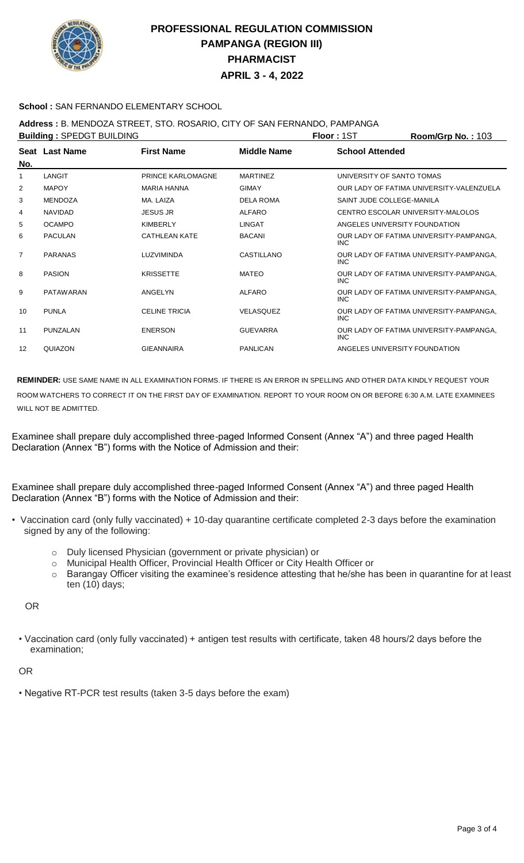

#### **School :** SAN FERNANDO ELEMENTARY SCHOOL

### **Address :** B. MENDOZA STREET, STO. ROSARIO, CITY OF SAN FERNANDO, PAMPANGA

| <b>Building: SPEDGT BUILDING</b> |                  |                      |                    | <b>Floor: 1ST</b>             | Room/Grp No.: 103                        |
|----------------------------------|------------------|----------------------|--------------------|-------------------------------|------------------------------------------|
| No.                              | Seat Last Name   | <b>First Name</b>    | <b>Middle Name</b> | <b>School Attended</b>        |                                          |
|                                  | LANGIT           | PRINCE KARLOMAGNE    | <b>MARTINEZ</b>    | UNIVERSITY OF SANTO TOMAS     |                                          |
| 2                                | <b>MAPOY</b>     | <b>MARIA HANNA</b>   | <b>GIMAY</b>       |                               | OUR LADY OF FATIMA UNIVERSITY-VALENZUELA |
| 3                                | <b>MENDOZA</b>   | MA. LAIZA            | <b>DELA ROMA</b>   | SAINT JUDE COLLEGE-MANILA     |                                          |
| 4                                | <b>NAVIDAD</b>   | <b>JESUS JR</b>      | ALFARO             |                               | CENTRO ESCOLAR UNIVERSITY-MALOLOS        |
| 5                                | <b>OCAMPO</b>    | <b>KIMBERLY</b>      | <b>LINGAT</b>      | ANGELES UNIVERSITY FOUNDATION |                                          |
| 6                                | <b>PACULAN</b>   | <b>CATHLEAN KATE</b> | <b>BACANI</b>      | INC.                          | OUR LADY OF FATIMA UNIVERSITY-PAMPANGA,  |
| $\overline{7}$                   | <b>PARANAS</b>   | LUZVIMINDA           | CASTILLANO         | <b>INC</b>                    | OUR LADY OF FATIMA UNIVERSITY-PAMPANGA,  |
| 8                                | <b>PASION</b>    | <b>KRISSETTE</b>     | <b>MATEO</b>       | <b>INC</b>                    | OUR LADY OF FATIMA UNIVERSITY-PAMPANGA,  |
| 9                                | <b>PATAWARAN</b> | ANGELYN              | <b>ALFARO</b>      | <b>INC</b>                    | OUR LADY OF FATIMA UNIVERSITY-PAMPANGA,  |
| 10                               | <b>PUNLA</b>     | <b>CELINE TRICIA</b> | <b>VELASQUEZ</b>   | <b>INC</b>                    | OUR LADY OF FATIMA UNIVERSITY-PAMPANGA.  |
| 11                               | PUNZALAN         | <b>ENERSON</b>       | <b>GUEVARRA</b>    | <b>INC</b>                    | OUR LADY OF FATIMA UNIVERSITY-PAMPANGA,  |
| 12                               | QUIAZON          | <b>GIEANNAIRA</b>    | PANLICAN           | ANGELES UNIVERSITY FOUNDATION |                                          |
|                                  |                  |                      |                    |                               |                                          |

**REMINDER:** USE SAME NAME IN ALL EXAMINATION FORMS. IF THERE IS AN ERROR IN SPELLING AND OTHER DATA KINDLY REQUEST YOUR ROOM WATCHERS TO CORRECT IT ON THE FIRST DAY OF EXAMINATION. REPORT TO YOUR ROOM ON OR BEFORE 6:30 A.M. LATE EXAMINEES WILL NOT BE ADMITTED.

Examinee shall prepare duly accomplished three-paged Informed Consent (Annex "A") and three paged Health Declaration (Annex "B") forms with the Notice of Admission and their:

Examinee shall prepare duly accomplished three-paged Informed Consent (Annex "A") and three paged Health Declaration (Annex "B") forms with the Notice of Admission and their:

- Vaccination card (only fully vaccinated) + 10-day quarantine certificate completed 2-3 days before the examination signed by any of the following:
	- o Duly licensed Physician (government or private physician) or
	- o Municipal Health Officer, Provincial Health Officer or City Health Officer or
	- o Barangay Officer visiting the examinee's residence attesting that he/she has been in quarantine for at least ten (10) days;

OR

• Vaccination card (only fully vaccinated) + antigen test results with certificate, taken 48 hours/2 days before the examination;

#### OR